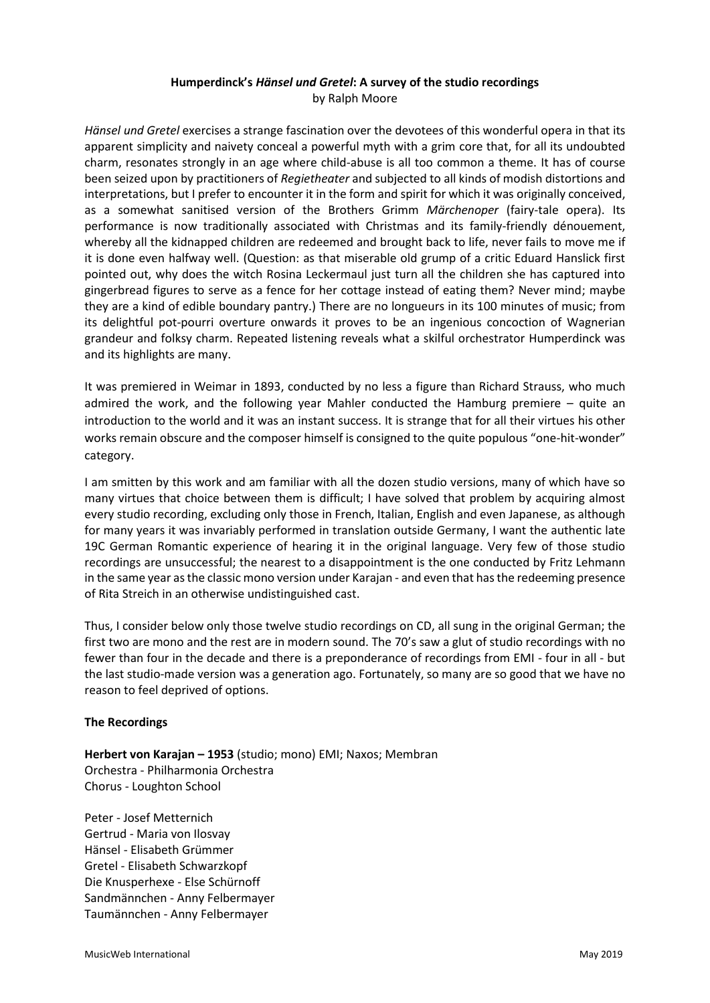## **Humperdinck's** *Hänsel und Gretel***: A survey of the studio recordings** by Ralph Moore

*Hänsel und Gretel* exercises a strange fascination over the devotees of this wonderful opera in that its apparent simplicity and naivety conceal a powerful myth with a grim core that, for all its undoubted charm, resonates strongly in an age where child-abuse is all too common a theme. It has of course been seized upon by practitioners of *Regietheater* and subjected to all kinds of modish distortions and interpretations, but I prefer to encounter it in the form and spirit for which it was originally conceived, as a somewhat sanitised version of the Brothers Grimm *Märchenoper* (fairy-tale opera). Its performance is now traditionally associated with Christmas and its family-friendly dénouement, whereby all the kidnapped children are redeemed and brought back to life, never fails to move me if it is done even halfway well. (Question: as that miserable old grump of a critic Eduard Hanslick first pointed out, why does the witch Rosina Leckermaul just turn all the children she has captured into gingerbread figures to serve as a fence for her cottage instead of eating them? Never mind; maybe they are a kind of edible boundary pantry.) There are no longueurs in its 100 minutes of music; from its delightful pot-pourri overture onwards it proves to be an ingenious concoction of Wagnerian grandeur and folksy charm. Repeated listening reveals what a skilful orchestrator Humperdinck was and its highlights are many.

It was premiered in Weimar in 1893, conducted by no less a figure than Richard Strauss, who much admired the work, and the following year Mahler conducted the Hamburg premiere – quite an introduction to the world and it was an instant success. It is strange that for all their virtues his other works remain obscure and the composer himself is consigned to the quite populous "one-hit-wonder" category.

I am smitten by this work and am familiar with all the dozen studio versions, many of which have so many virtues that choice between them is difficult; I have solved that problem by acquiring almost every studio recording, excluding only those in French, Italian, English and even Japanese, as although for many years it was invariably performed in translation outside Germany, I want the authentic late 19C German Romantic experience of hearing it in the original language. Very few of those studio recordings are unsuccessful; the nearest to a disappointment is the one conducted by Fritz Lehmann in the same year as the classic mono version under Karajan - and even that has the redeeming presence of Rita Streich in an otherwise undistinguished cast.

Thus, I consider below only those twelve studio recordings on CD, all sung in the original German; the first two are mono and the rest are in modern sound. The 70's saw a glut of studio recordings with no fewer than four in the decade and there is a preponderance of recordings from EMI - four in all - but the last studio-made version was a generation ago. Fortunately, so many are so good that we have no reason to feel deprived of options.

### **The Recordings**

**Herbert von Karajan – 1953** (studio; mono) EMI; Naxos; Membran Orchestra - Philharmonia Orchestra Chorus - Loughton School

Peter - Josef Metternich Gertrud - Maria von Ilosvay Hänsel - Elisabeth Grümmer Gretel - Elisabeth Schwarzkopf Die Knusperhexe - Else Schürnoff Sandmännchen - Anny Felbermayer Taumännchen - Anny Felbermayer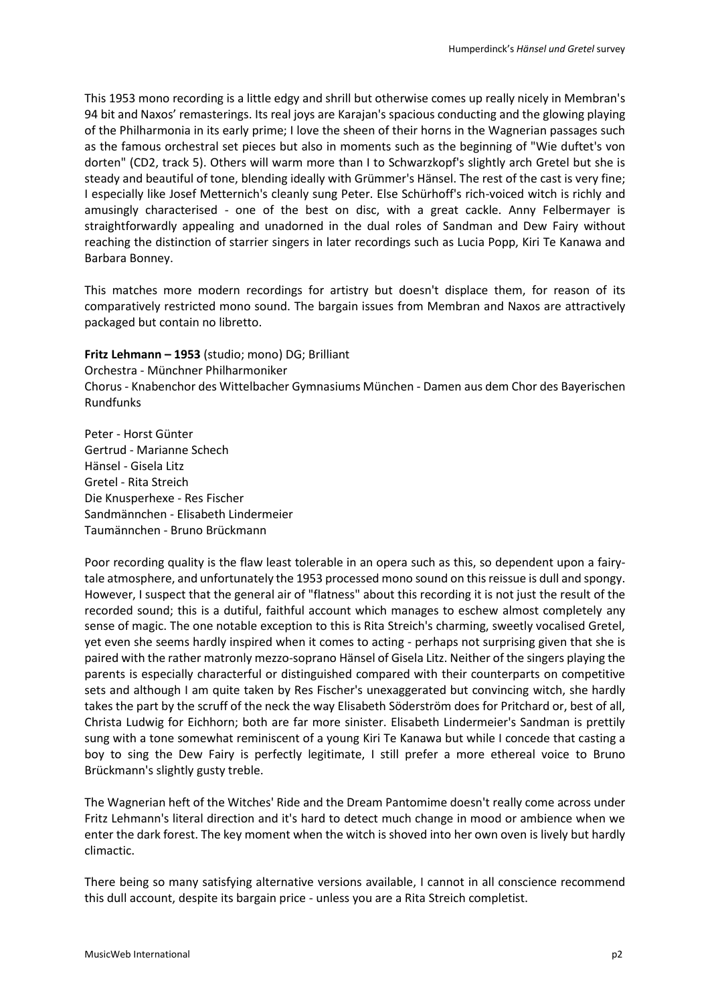This 1953 mono recording is a little edgy and shrill but otherwise comes up really nicely in Membran's 94 bit and Naxos' remasterings. Its real joys are Karajan's spacious conducting and the glowing playing of the Philharmonia in its early prime; I love the sheen of their horns in the Wagnerian passages such as the famous orchestral set pieces but also in moments such as the beginning of "Wie duftet's von dorten" (CD2, track 5). Others will warm more than I to Schwarzkopf's slightly arch Gretel but she is steady and beautiful of tone, blending ideally with Grümmer's Hänsel. The rest of the cast is very fine; I especially like Josef Metternich's cleanly sung Peter. Else Schürhoff's rich-voiced witch is richly and amusingly characterised - one of the best on disc, with a great cackle. Anny Felbermayer is straightforwardly appealing and unadorned in the dual roles of Sandman and Dew Fairy without reaching the distinction of starrier singers in later recordings such as Lucia Popp, Kiri Te Kanawa and Barbara Bonney.

This matches more modern recordings for artistry but doesn't displace them, for reason of its comparatively restricted mono sound. The bargain issues from Membran and Naxos are attractively packaged but contain no libretto.

### **Fritz Lehmann – 1953** (studio; mono) DG; Brilliant

Orchestra - Münchner Philharmoniker

Chorus - Knabenchor des Wittelbacher Gymnasiums München - Damen aus dem Chor des Bayerischen Rundfunks

Peter - Horst Günter Gertrud - Marianne Schech Hänsel - Gisela Litz Gretel - Rita Streich Die Knusperhexe - Res Fischer Sandmännchen - Elisabeth Lindermeier Taumännchen - Bruno Brückmann

Poor recording quality is the flaw least tolerable in an opera such as this, so dependent upon a fairytale atmosphere, and unfortunately the 1953 processed mono sound on this reissue is dull and spongy. However, I suspect that the general air of "flatness" about this recording it is not just the result of the recorded sound; this is a dutiful, faithful account which manages to eschew almost completely any sense of magic. The one notable exception to this is Rita Streich's charming, sweetly vocalised Gretel, yet even she seems hardly inspired when it comes to acting - perhaps not surprising given that she is paired with the rather matronly mezzo-soprano Hänsel of Gisela Litz. Neither of the singers playing the parents is especially characterful or distinguished compared with their counterparts on competitive sets and although I am quite taken by Res Fischer's unexaggerated but convincing witch, she hardly takes the part by the scruff of the neck the way Elisabeth Söderström does for Pritchard or, best of all, Christa Ludwig for Eichhorn; both are far more sinister. Elisabeth Lindermeier's Sandman is prettily sung with a tone somewhat reminiscent of a young Kiri Te Kanawa but while I concede that casting a boy to sing the Dew Fairy is perfectly legitimate, I still prefer a more ethereal voice to Bruno Brückmann's slightly gusty treble.

The Wagnerian heft of the Witches' Ride and the Dream Pantomime doesn't really come across under Fritz Lehmann's literal direction and it's hard to detect much change in mood or ambience when we enter the dark forest. The key moment when the witch is shoved into her own oven is lively but hardly climactic.

There being so many satisfying alternative versions available, I cannot in all conscience recommend this dull account, despite its bargain price - unless you are a Rita Streich completist.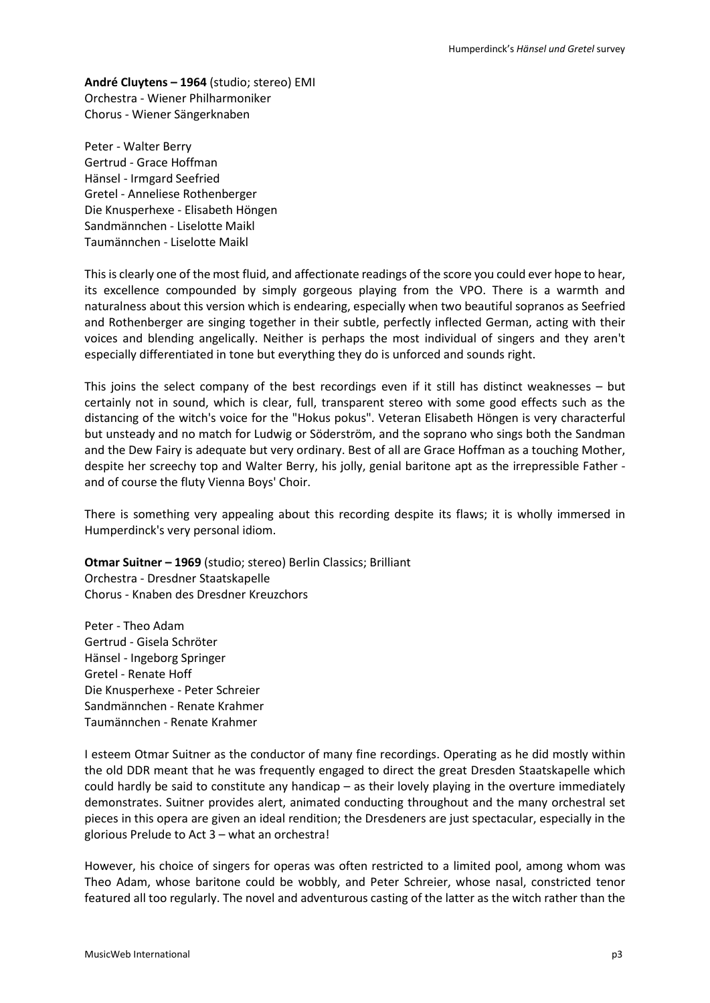**André Cluytens – 1964** (studio; stereo) EMI Orchestra - Wiener Philharmoniker Chorus - Wiener Sängerknaben

Peter - Walter Berry Gertrud - Grace Hoffman Hänsel - Irmgard Seefried Gretel - Anneliese Rothenberger Die Knusperhexe - Elisabeth Höngen Sandmännchen - Liselotte Maikl Taumännchen - Liselotte Maikl

This is clearly one of the most fluid, and affectionate readings of the score you could ever hope to hear, its excellence compounded by simply gorgeous playing from the VPO. There is a warmth and naturalness about this version which is endearing, especially when two beautiful sopranos as Seefried and Rothenberger are singing together in their subtle, perfectly inflected German, acting with their voices and blending angelically. Neither is perhaps the most individual of singers and they aren't especially differentiated in tone but everything they do is unforced and sounds right.

This joins the select company of the best recordings even if it still has distinct weaknesses – but certainly not in sound, which is clear, full, transparent stereo with some good effects such as the distancing of the witch's voice for the "Hokus pokus". Veteran Elisabeth Höngen is very characterful but unsteady and no match for Ludwig or Söderström, and the soprano who sings both the Sandman and the Dew Fairy is adequate but very ordinary. Best of all are Grace Hoffman as a touching Mother, despite her screechy top and Walter Berry, his jolly, genial baritone apt as the irrepressible Father and of course the fluty Vienna Boys' Choir.

There is something very appealing about this recording despite its flaws; it is wholly immersed in Humperdinck's very personal idiom.

**Otmar Suitner – 1969** (studio; stereo) Berlin Classics; Brilliant Orchestra - Dresdner Staatskapelle Chorus - Knaben des Dresdner Kreuzchors

Peter - Theo Adam Gertrud - Gisela Schröter Hänsel - Ingeborg Springer Gretel - Renate Hoff Die Knusperhexe - Peter Schreier Sandmännchen - Renate Krahmer Taumännchen - Renate Krahmer

I esteem Otmar Suitner as the conductor of many fine recordings. Operating as he did mostly within the old DDR meant that he was frequently engaged to direct the great Dresden Staatskapelle which could hardly be said to constitute any handicap – as their lovely playing in the overture immediately demonstrates. Suitner provides alert, animated conducting throughout and the many orchestral set pieces in this opera are given an ideal rendition; the Dresdeners are just spectacular, especially in the glorious Prelude to Act 3 – what an orchestra!

However, his choice of singers for operas was often restricted to a limited pool, among whom was Theo Adam, whose baritone could be wobbly, and Peter Schreier, whose nasal, constricted tenor featured all too regularly. The novel and adventurous casting of the latter as the witch rather than the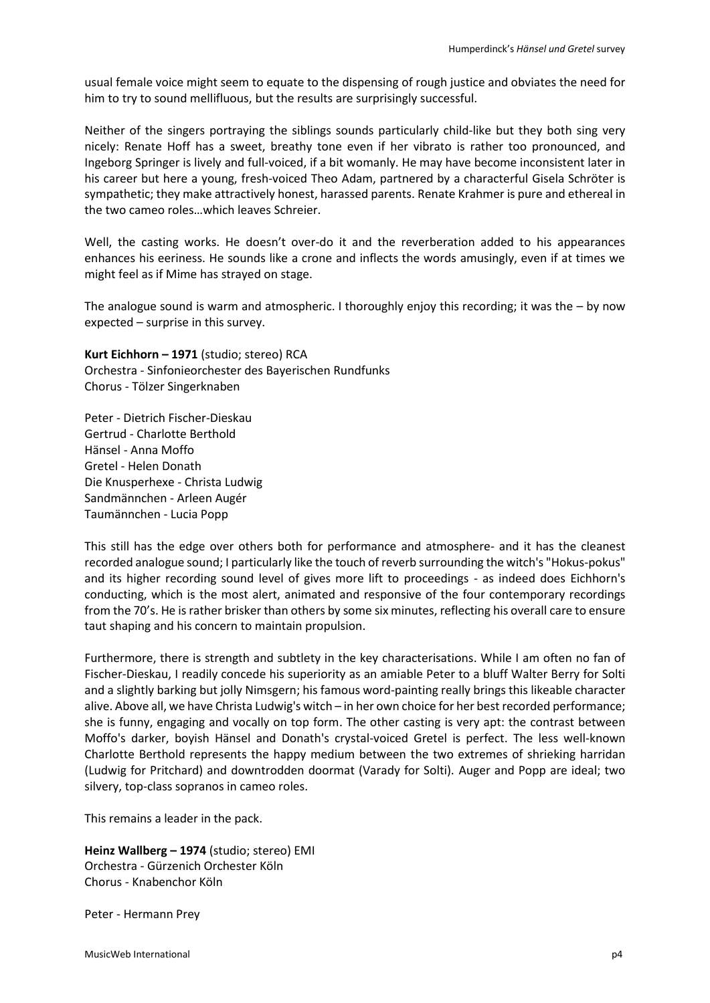usual female voice might seem to equate to the dispensing of rough justice and obviates the need for him to try to sound mellifluous, but the results are surprisingly successful.

Neither of the singers portraying the siblings sounds particularly child-like but they both sing very nicely: Renate Hoff has a sweet, breathy tone even if her vibrato is rather too pronounced, and Ingeborg Springer is lively and full-voiced, if a bit womanly. He may have become inconsistent later in his career but here a young, fresh-voiced Theo Adam, partnered by a characterful Gisela Schröter is sympathetic; they make attractively honest, harassed parents. Renate Krahmer is pure and ethereal in the two cameo roles…which leaves Schreier.

Well, the casting works. He doesn't over-do it and the reverberation added to his appearances enhances his eeriness. He sounds like a crone and inflects the words amusingly, even if at times we might feel as if Mime has strayed on stage.

The analogue sound is warm and atmospheric. I thoroughly enjoy this recording; it was the – by now expected – surprise in this survey.

**Kurt Eichhorn – 1971** (studio; stereo) RCA Orchestra - Sinfonieorchester des Bayerischen Rundfunks Chorus - Tölzer Singerknaben

Peter - Dietrich Fischer-Dieskau Gertrud - Charlotte Berthold Hänsel - Anna Moffo Gretel - Helen Donath Die Knusperhexe - Christa Ludwig Sandmännchen - Arleen Augér Taumännchen - Lucia Popp

This still has the edge over others both for performance and atmosphere- and it has the cleanest recorded analogue sound; I particularly like the touch of reverb surrounding the witch's "Hokus-pokus" and its higher recording sound level of gives more lift to proceedings - as indeed does Eichhorn's conducting, which is the most alert, animated and responsive of the four contemporary recordings from the 70's. He is rather brisker than others by some six minutes, reflecting his overall care to ensure taut shaping and his concern to maintain propulsion.

Furthermore, there is strength and subtlety in the key characterisations. While I am often no fan of Fischer-Dieskau, I readily concede his superiority as an amiable Peter to a bluff Walter Berry for Solti and a slightly barking but jolly Nimsgern; his famous word-painting really brings this likeable character alive. Above all, we have Christa Ludwig's witch – in her own choice for her best recorded performance; she is funny, engaging and vocally on top form. The other casting is very apt: the contrast between Moffo's darker, boyish Hänsel and Donath's crystal-voiced Gretel is perfect. The less well-known Charlotte Berthold represents the happy medium between the two extremes of shrieking harridan (Ludwig for Pritchard) and downtrodden doormat (Varady for Solti). Auger and Popp are ideal; two silvery, top-class sopranos in cameo roles.

This remains a leader in the pack.

**Heinz Wallberg – 1974** (studio; stereo) EMI Orchestra - Gürzenich Orchester Köln Chorus - Knabenchor Köln

Peter - Hermann Prey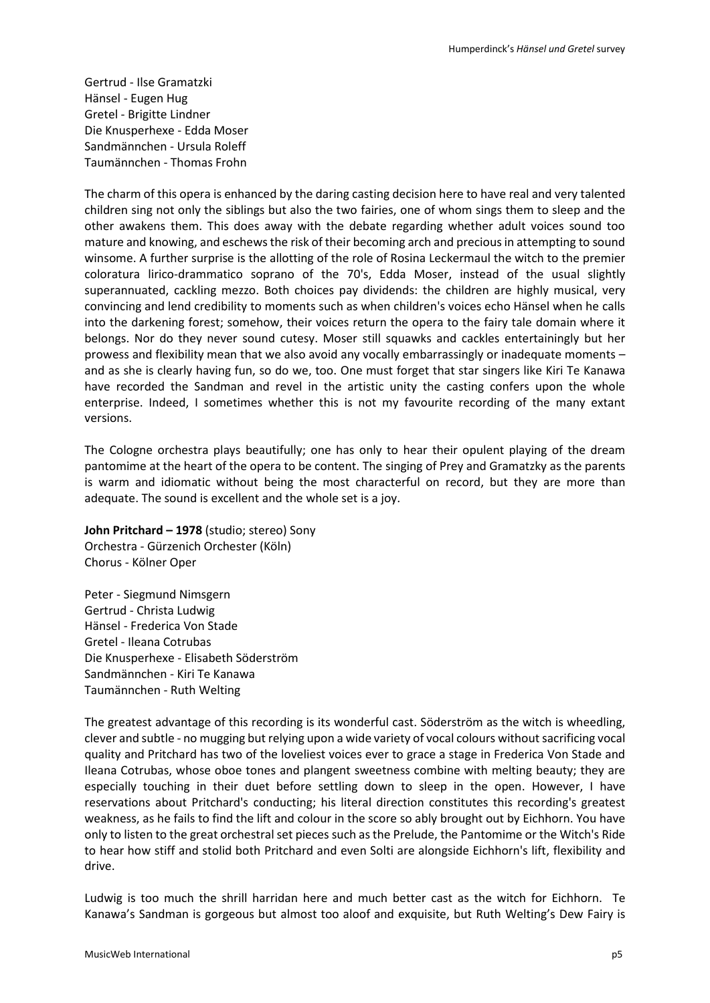Gertrud - Ilse Gramatzki Hänsel - Eugen Hug Gretel - Brigitte Lindner Die Knusperhexe - Edda Moser Sandmännchen - Ursula Roleff Taumännchen - Thomas Frohn

The charm of this opera is enhanced by the daring casting decision here to have real and very talented children sing not only the siblings but also the two fairies, one of whom sings them to sleep and the other awakens them. This does away with the debate regarding whether adult voices sound too mature and knowing, and eschews the risk of their becoming arch and precious in attempting to sound winsome. A further surprise is the allotting of the role of Rosina Leckermaul the witch to the premier coloratura lirico-drammatico soprano of the 70's, Edda Moser, instead of the usual slightly superannuated, cackling mezzo. Both choices pay dividends: the children are highly musical, very convincing and lend credibility to moments such as when children's voices echo Hänsel when he calls into the darkening forest; somehow, their voices return the opera to the fairy tale domain where it belongs. Nor do they never sound cutesy. Moser still squawks and cackles entertainingly but her prowess and flexibility mean that we also avoid any vocally embarrassingly or inadequate moments – and as she is clearly having fun, so do we, too. One must forget that star singers like Kiri Te Kanawa have recorded the Sandman and revel in the artistic unity the casting confers upon the whole enterprise. Indeed, I sometimes whether this is not my favourite recording of the many extant versions.

The Cologne orchestra plays beautifully; one has only to hear their opulent playing of the dream pantomime at the heart of the opera to be content. The singing of Prey and Gramatzky as the parents is warm and idiomatic without being the most characterful on record, but they are more than adequate. The sound is excellent and the whole set is a joy.

**John Pritchard – 1978** (studio; stereo) Sony Orchestra - Gürzenich Orchester (Köln) Chorus - Kölner Oper

Peter - Siegmund Nimsgern Gertrud - Christa Ludwig Hänsel - Frederica Von Stade Gretel - Ileana Cotrubas Die Knusperhexe - Elisabeth Söderström Sandmännchen - Kiri Te Kanawa Taumännchen - Ruth Welting

The greatest advantage of this recording is its wonderful cast. Söderström as the witch is wheedling, clever and subtle - no mugging but relying upon a wide variety of vocal colours without sacrificing vocal quality and Pritchard has two of the loveliest voices ever to grace a stage in Frederica Von Stade and Ileana Cotrubas, whose oboe tones and plangent sweetness combine with melting beauty; they are especially touching in their duet before settling down to sleep in the open. However, I have reservations about Pritchard's conducting; his literal direction constitutes this recording's greatest weakness, as he fails to find the lift and colour in the score so ably brought out by Eichhorn. You have only to listen to the great orchestral set pieces such as the Prelude, the Pantomime or the Witch's Ride to hear how stiff and stolid both Pritchard and even Solti are alongside Eichhorn's lift, flexibility and drive.

Ludwig is too much the shrill harridan here and much better cast as the witch for Eichhorn. Te Kanawa's Sandman is gorgeous but almost too aloof and exquisite, but Ruth Welting's Dew Fairy is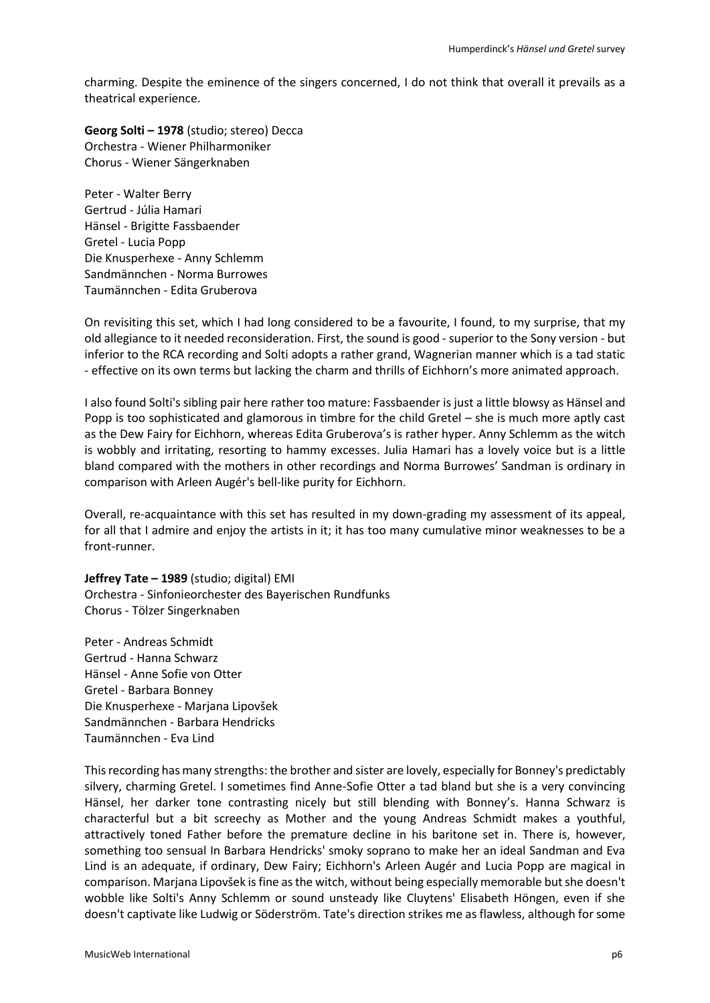charming. Despite the eminence of the singers concerned, I do not think that overall it prevails as a theatrical experience.

**Georg Solti – 1978** (studio; stereo) Decca Orchestra - Wiener Philharmoniker Chorus - Wiener Sängerknaben

Peter - Walter Berry Gertrud - Júlia Hamari Hänsel - Brigitte Fassbaender Gretel - Lucia Popp Die Knusperhexe - Anny Schlemm Sandmännchen - Norma Burrowes Taumännchen - Edita Gruberova

On revisiting this set, which I had long considered to be a favourite, I found, to my surprise, that my old allegiance to it needed reconsideration. First, the sound is good - superior to the Sony version - but inferior to the RCA recording and Solti adopts a rather grand, Wagnerian manner which is a tad static - effective on its own terms but lacking the charm and thrills of Eichhorn's more animated approach.

I also found Solti's sibling pair here rather too mature: Fassbaender is just a little blowsy as Hänsel and Popp is too sophisticated and glamorous in timbre for the child Gretel – she is much more aptly cast as the Dew Fairy for Eichhorn, whereas Edita Gruberova's is rather hyper. Anny Schlemm as the witch is wobbly and irritating, resorting to hammy excesses. Julia Hamari has a lovely voice but is a little bland compared with the mothers in other recordings and Norma Burrowes' Sandman is ordinary in comparison with Arleen Augér's bell-like purity for Eichhorn.

Overall, re-acquaintance with this set has resulted in my down-grading my assessment of its appeal, for all that I admire and enjoy the artists in it; it has too many cumulative minor weaknesses to be a front-runner.

**Jeffrey Tate – 1989** (studio; digital) EMI Orchestra - Sinfonieorchester des Bayerischen Rundfunks Chorus - Tölzer Singerknaben

Peter - Andreas Schmidt Gertrud - Hanna Schwarz Hänsel - Anne Sofie von Otter Gretel - Barbara Bonney Die Knusperhexe - Marjana Lipovšek Sandmännchen - Barbara Hendricks Taumännchen - Eva Lind

This recording has many strengths: the brother and sister are lovely, especially for Bonney's predictably silvery, charming Gretel. I sometimes find Anne-Sofie Otter a tad bland but she is a very convincing Hänsel, her darker tone contrasting nicely but still blending with Bonney's. Hanna Schwarz is characterful but a bit screechy as Mother and the young Andreas Schmidt makes a youthful, attractively toned Father before the premature decline in his baritone set in. There is, however, something too sensual In Barbara Hendricks' smoky soprano to make her an ideal Sandman and Eva Lind is an adequate, if ordinary, Dew Fairy; Eichhorn's Arleen Augér and Lucia Popp are magical in comparison. Marjana Lipovšek is fine as the witch, without being especially memorable but she doesn't wobble like Solti's Anny Schlemm or sound unsteady like Cluytens' Elisabeth Höngen, even if she doesn't captivate like Ludwig or Söderström. Tate's direction strikes me as flawless, although for some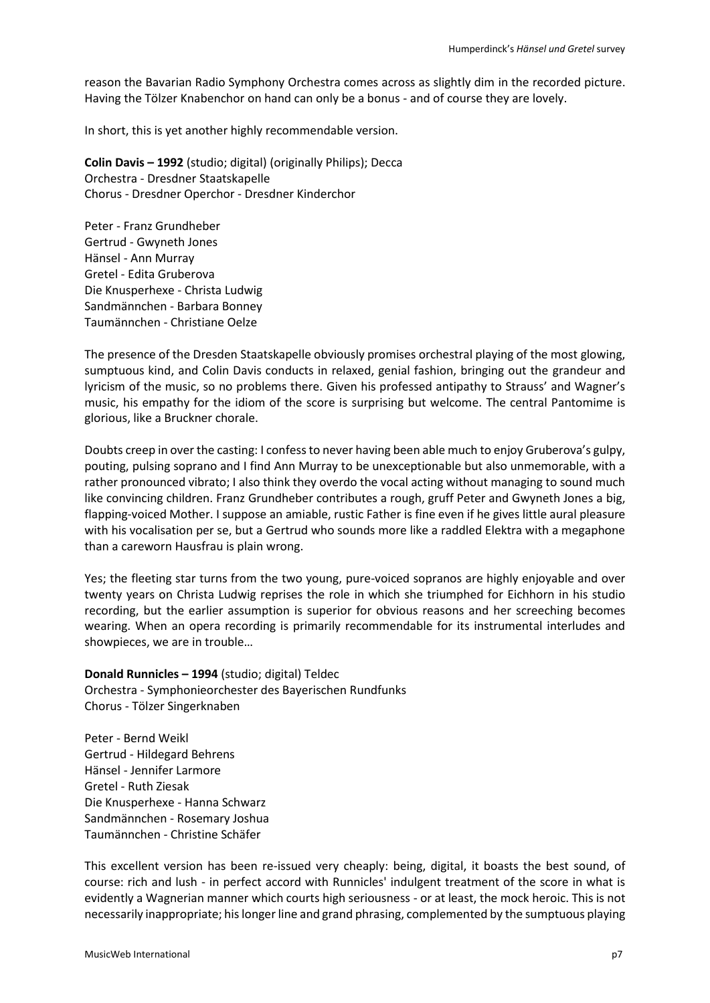reason the Bavarian Radio Symphony Orchestra comes across as slightly dim in the recorded picture. Having the Tölzer Knabenchor on hand can only be a bonus - and of course they are lovely.

In short, this is yet another highly recommendable version.

**Colin Davis – 1992** (studio; digital) (originally Philips); Decca Orchestra - Dresdner Staatskapelle Chorus - Dresdner Operchor - Dresdner Kinderchor

Peter - Franz Grundheber Gertrud - Gwyneth Jones Hänsel - Ann Murray Gretel - Edita Gruberova Die Knusperhexe - Christa Ludwig Sandmännchen - Barbara Bonney Taumännchen - Christiane Oelze

The presence of the Dresden Staatskapelle obviously promises orchestral playing of the most glowing, sumptuous kind, and Colin Davis conducts in relaxed, genial fashion, bringing out the grandeur and lyricism of the music, so no problems there. Given his professed antipathy to Strauss' and Wagner's music, his empathy for the idiom of the score is surprising but welcome. The central Pantomime is glorious, like a Bruckner chorale.

Doubts creep in over the casting: I confess to never having been able much to enjoy Gruberova's gulpy, pouting, pulsing soprano and I find Ann Murray to be unexceptionable but also unmemorable, with a rather pronounced vibrato; I also think they overdo the vocal acting without managing to sound much like convincing children. Franz Grundheber contributes a rough, gruff Peter and Gwyneth Jones a big, flapping-voiced Mother. I suppose an amiable, rustic Father is fine even if he gives little aural pleasure with his vocalisation per se, but a Gertrud who sounds more like a raddled Elektra with a megaphone than a careworn Hausfrau is plain wrong.

Yes; the fleeting star turns from the two young, pure-voiced sopranos are highly enjoyable and over twenty years on Christa Ludwig reprises the role in which she triumphed for Eichhorn in his studio recording, but the earlier assumption is superior for obvious reasons and her screeching becomes wearing. When an opera recording is primarily recommendable for its instrumental interludes and showpieces, we are in trouble…

# **Donald Runnicles – 1994** (studio; digital) Teldec Orchestra - Symphonieorchester des Bayerischen Rundfunks Chorus - Tölzer Singerknaben

Peter - Bernd Weikl Gertrud - Hildegard Behrens Hänsel - Jennifer Larmore Gretel - Ruth Ziesak Die Knusperhexe - Hanna Schwarz Sandmännchen - Rosemary Joshua Taumännchen - Christine Schäfer

This excellent version has been re-issued very cheaply: being, digital, it boasts the best sound, of course: rich and lush - in perfect accord with Runnicles' indulgent treatment of the score in what is evidently a Wagnerian manner which courts high seriousness - or at least, the mock heroic. This is not necessarily inappropriate; his longer line and grand phrasing, complemented by the sumptuous playing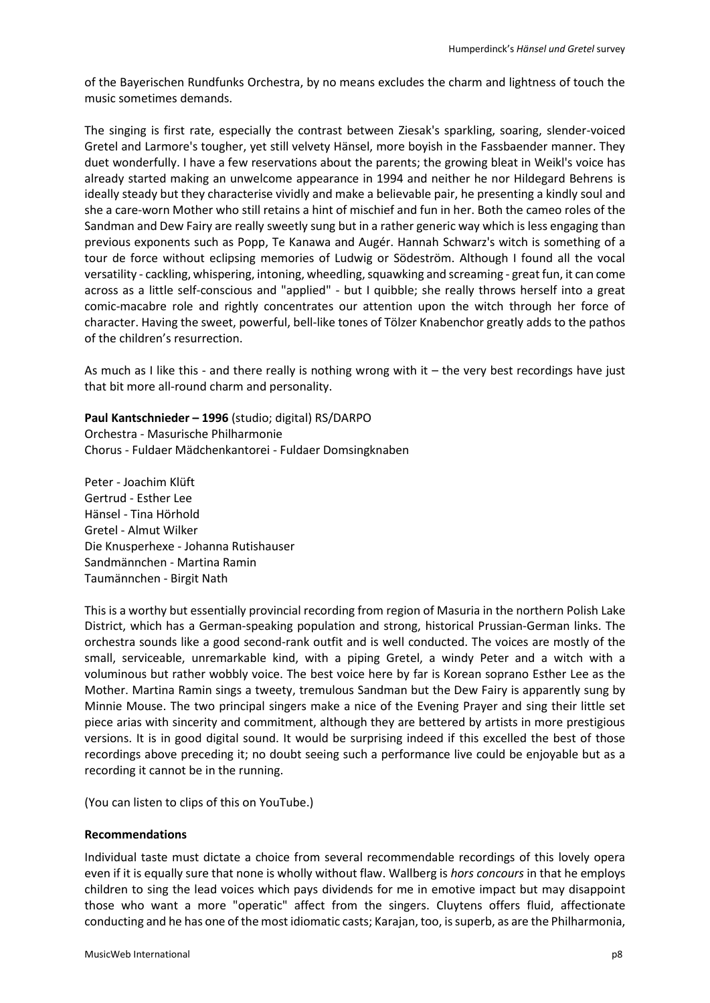of the Bayerischen Rundfunks Orchestra, by no means excludes the charm and lightness of touch the music sometimes demands.

The singing is first rate, especially the contrast between Ziesak's sparkling, soaring, slender-voiced Gretel and Larmore's tougher, yet still velvety Hänsel, more boyish in the Fassbaender manner. They duet wonderfully. I have a few reservations about the parents; the growing bleat in Weikl's voice has already started making an unwelcome appearance in 1994 and neither he nor Hildegard Behrens is ideally steady but they characterise vividly and make a believable pair, he presenting a kindly soul and she a care-worn Mother who still retains a hint of mischief and fun in her. Both the cameo roles of the Sandman and Dew Fairy are really sweetly sung but in a rather generic way which is less engaging than previous exponents such as Popp, Te Kanawa and Augér. Hannah Schwarz's witch is something of a tour de force without eclipsing memories of Ludwig or Södeström. Although I found all the vocal versatility - cackling, whispering, intoning, wheedling, squawking and screaming - great fun, it can come across as a little self-conscious and "applied" - but I quibble; she really throws herself into a great comic-macabre role and rightly concentrates our attention upon the witch through her force of character. Having the sweet, powerful, bell-like tones of Tölzer Knabenchor greatly adds to the pathos of the children's resurrection.

As much as I like this - and there really is nothing wrong with it – the very best recordings have just that bit more all-round charm and personality.

**Paul Kantschnieder – 1996** (studio; digital) RS/DARPO Orchestra - Masurische Philharmonie Chorus - Fuldaer Mädchenkantorei - Fuldaer Domsingknaben

Peter - Joachim Klüft Gertrud - Esther Lee Hänsel - Tina Hörhold Gretel - Almut Wilker Die Knusperhexe - Johanna Rutishauser Sandmännchen - Martina Ramin Taumännchen - Birgit Nath

This is a worthy but essentially provincial recording from region of Masuria in the northern Polish Lake District, which has a German-speaking population and strong, historical Prussian-German links. The orchestra sounds like a good second-rank outfit and is well conducted. The voices are mostly of the small, serviceable, unremarkable kind, with a piping Gretel, a windy Peter and a witch with a voluminous but rather wobbly voice. The best voice here by far is Korean soprano Esther Lee as the Mother. Martina Ramin sings a tweety, tremulous Sandman but the Dew Fairy is apparently sung by Minnie Mouse. The two principal singers make a nice of the Evening Prayer and sing their little set piece arias with sincerity and commitment, although they are bettered by artists in more prestigious versions. It is in good digital sound. It would be surprising indeed if this excelled the best of those recordings above preceding it; no doubt seeing such a performance live could be enjoyable but as a recording it cannot be in the running.

(You can listen to clips of this on YouTube.)

#### **Recommendations**

Individual taste must dictate a choice from several recommendable recordings of this lovely opera even if it is equally sure that none is wholly without flaw. Wallberg is *hors concours* in that he employs children to sing the lead voices which pays dividends for me in emotive impact but may disappoint those who want a more "operatic" affect from the singers. Cluytens offers fluid, affectionate conducting and he has one of the most idiomatic casts; Karajan, too, is superb, as are the Philharmonia,